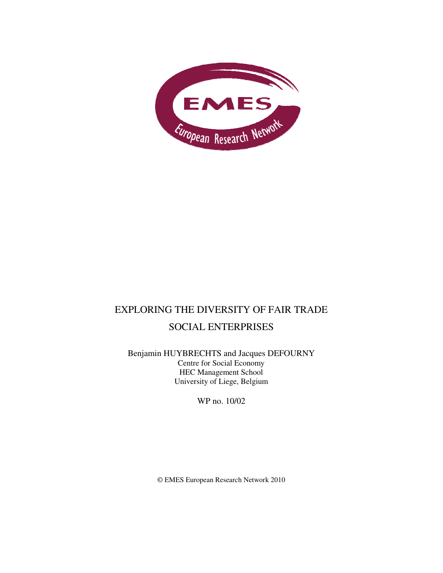

# EXPLORING THE DIVERSITY OF FAIR TRADE SOCIAL ENTERPRISES

Benjamin HUYBRECHTS and Jacques DEFOURNY Centre for Social Economy HEC Management School University of Liege, Belgium

WP no. 10/02

© EMES European Research Network 2010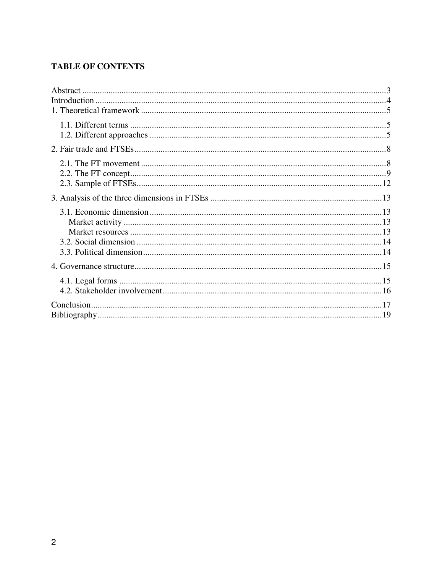## **TABLE OF CONTENTS**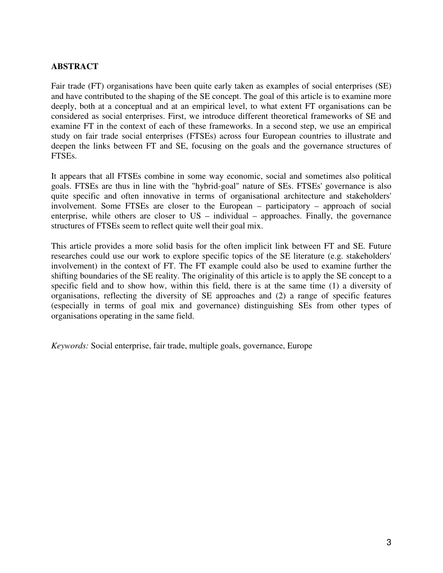### **ABSTRACT**

Fair trade (FT) organisations have been quite early taken as examples of social enterprises (SE) and have contributed to the shaping of the SE concept. The goal of this article is to examine more deeply, both at a conceptual and at an empirical level, to what extent FT organisations can be considered as social enterprises. First, we introduce different theoretical frameworks of SE and examine FT in the context of each of these frameworks. In a second step, we use an empirical study on fair trade social enterprises (FTSEs) across four European countries to illustrate and deepen the links between FT and SE, focusing on the goals and the governance structures of FTSEs.

It appears that all FTSEs combine in some way economic, social and sometimes also political goals. FTSEs are thus in line with the "hybrid-goal" nature of SEs. FTSEs' governance is also quite specific and often innovative in terms of organisational architecture and stakeholders' involvement. Some FTSEs are closer to the European – participatory – approach of social enterprise, while others are closer to US – individual – approaches. Finally, the governance structures of FTSEs seem to reflect quite well their goal mix.

This article provides a more solid basis for the often implicit link between FT and SE. Future researches could use our work to explore specific topics of the SE literature (e.g. stakeholders' involvement) in the context of FT. The FT example could also be used to examine further the shifting boundaries of the SE reality. The originality of this article is to apply the SE concept to a specific field and to show how, within this field, there is at the same time (1) a diversity of organisations, reflecting the diversity of SE approaches and (2) a range of specific features (especially in terms of goal mix and governance) distinguishing SEs from other types of organisations operating in the same field.

*Keywords:* Social enterprise, fair trade, multiple goals, governance, Europe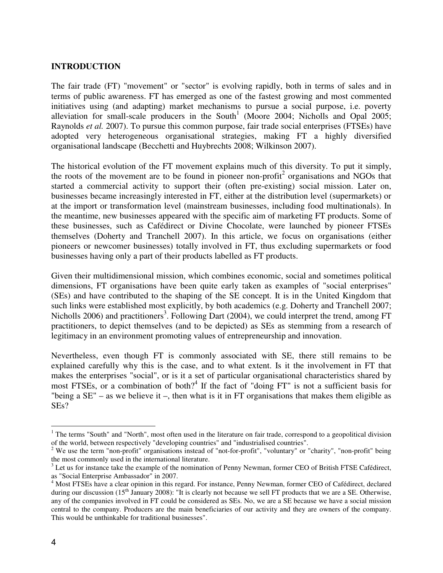#### **INTRODUCTION**

The fair trade (FT) "movement" or "sector" is evolving rapidly, both in terms of sales and in terms of public awareness. FT has emerged as one of the fastest growing and most commented initiatives using (and adapting) market mechanisms to pursue a social purpose, i.e. poverty alleviation for small-scale producers in the South<sup>1</sup> (Moore 2004; Nicholls and Opal 2005; Raynolds *et al.* 2007). To pursue this common purpose, fair trade social enterprises (FTSEs) have adopted very heterogeneous organisational strategies, making FT a highly diversified organisational landscape (Becchetti and Huybrechts 2008; Wilkinson 2007).

The historical evolution of the FT movement explains much of this diversity. To put it simply, the roots of the movement are to be found in pioneer non-profit<sup>2</sup> organisations and NGOs that started a commercial activity to support their (often pre-existing) social mission. Later on, businesses became increasingly interested in FT, either at the distribution level (supermarkets) or at the import or transformation level (mainstream businesses, including food multinationals). In the meantime, new businesses appeared with the specific aim of marketing FT products. Some of these businesses, such as Cafédirect or Divine Chocolate, were launched by pioneer FTSEs themselves (Doherty and Tranchell 2007). In this article, we focus on organisations (either pioneers or newcomer businesses) totally involved in FT, thus excluding supermarkets or food businesses having only a part of their products labelled as FT products.

Given their multidimensional mission, which combines economic, social and sometimes political dimensions, FT organisations have been quite early taken as examples of "social enterprises" (SEs) and have contributed to the shaping of the SE concept. It is in the United Kingdom that such links were established most explicitly, by both academics (e.g. Doherty and Tranchell 2007; Nicholls 2006) and practitioners<sup>3</sup>. Following Dart (2004), we could interpret the trend, among FT practitioners, to depict themselves (and to be depicted) as SEs as stemming from a research of legitimacy in an environment promoting values of entrepreneurship and innovation.

Nevertheless, even though FT is commonly associated with SE, there still remains to be explained carefully why this is the case, and to what extent. Is it the involvement in FT that makes the enterprises "social", or is it a set of particular organisational characteristics shared by most FTSEs, or a combination of both?<sup>4</sup> If the fact of "doing FT" is not a sufficient basis for "being a  $SE''$  – as we believe it –, then what is it in FT organisations that makes them eligible as SEs?

 $\overline{a}$ 

<sup>&</sup>lt;sup>1</sup> The terms "South" and "North", most often used in the literature on fair trade, correspond to a geopolitical division of the world, between respectively "developing countries" and "industrialised countries".

<sup>&</sup>lt;sup>2</sup> We use the term "non-profit" organisations instead of "not-for-profit", "voluntary" or "charity", "non-profit" being the most commonly used in the international literature.

 $3$  Let us for instance take the example of the nomination of Penny Newman, former CEO of British FTSE Cafédirect, as "Social Enterprise Ambassador" in 2007.

<sup>&</sup>lt;sup>4</sup> Most FTSEs have a clear opinion in this regard. For instance, Penny Newman, former CEO of Cafédirect, declared during our discussion (15<sup>th</sup> January 2008): "It is clearly not because we sell FT products that we are a SE. Otherwise, any of the companies involved in FT could be considered as SEs. No, we are a SE because we have a social mission central to the company. Producers are the main beneficiaries of our activity and they are owners of the company. This would be unthinkable for traditional businesses".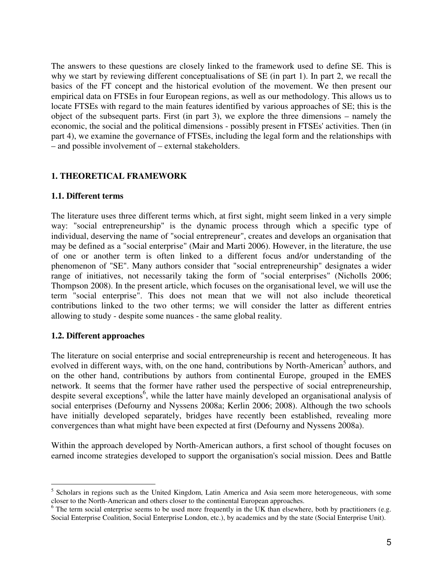The answers to these questions are closely linked to the framework used to define SE. This is why we start by reviewing different conceptualisations of SE (in part 1). In part 2, we recall the basics of the FT concept and the historical evolution of the movement. We then present our empirical data on FTSEs in four European regions, as well as our methodology. This allows us to locate FTSEs with regard to the main features identified by various approaches of SE; this is the object of the subsequent parts. First (in part 3), we explore the three dimensions – namely the economic, the social and the political dimensions - possibly present in FTSEs' activities. Then (in part 4), we examine the governance of FTSEs, including the legal form and the relationships with – and possible involvement of – external stakeholders.

### **1. THEORETICAL FRAMEWORK**

#### **1.1. Different terms**

The literature uses three different terms which, at first sight, might seem linked in a very simple way: "social entrepreneurship" is the dynamic process through which a specific type of individual, deserving the name of "social entrepreneur", creates and develops an organisation that may be defined as a "social enterprise" (Mair and Marti 2006). However, in the literature, the use of one or another term is often linked to a different focus and/or understanding of the phenomenon of "SE". Many authors consider that "social entrepreneurship" designates a wider range of initiatives, not necessarily taking the form of "social enterprises" (Nicholls 2006; Thompson 2008). In the present article, which focuses on the organisational level, we will use the term "social enterprise". This does not mean that we will not also include theoretical contributions linked to the two other terms; we will consider the latter as different entries allowing to study - despite some nuances - the same global reality.

### **1.2. Different approaches**

The literature on social enterprise and social entrepreneurship is recent and heterogeneous. It has evolved in different ways, with, on the one hand, contributions by North-American<sup>5</sup> authors, and on the other hand, contributions by authors from continental Europe, grouped in the EMES network. It seems that the former have rather used the perspective of social entrepreneurship, despite several exceptions<sup>6</sup>, while the latter have mainly developed an organisational analysis of social enterprises (Defourny and Nyssens 2008a; Kerlin 2006; 2008). Although the two schools have initially developed separately, bridges have recently been established, revealing more convergences than what might have been expected at first (Defourny and Nyssens 2008a).

Within the approach developed by North-American authors, a first school of thought focuses on earned income strategies developed to support the organisation's social mission. Dees and Battle

<sup>&</sup>lt;sup>5</sup> Scholars in regions such as the United Kingdom, Latin America and Asia seem more heterogeneous, with some closer to the North-American and others closer to the continental European approaches.

<sup>&</sup>lt;sup>6</sup> The term social enterprise seems to be used more frequently in the UK than elsewhere, both by practitioners (e.g. Social Enterprise Coalition, Social Enterprise London, etc.), by academics and by the state (Social Enterprise Unit).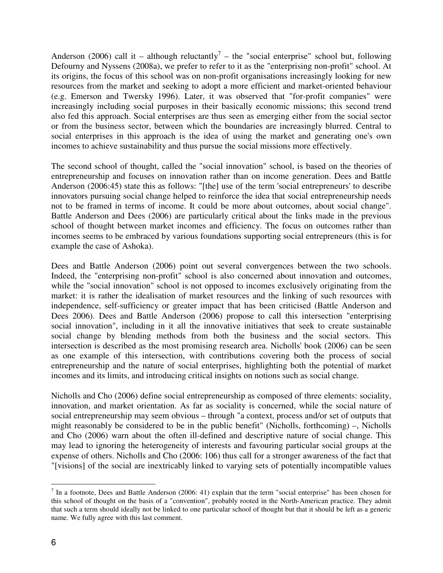Anderson (2006) call it – although reluctantly<sup>7</sup> – the "social enterprise" school but, following Defourny and Nyssens (2008a), we prefer to refer to it as the "enterprising non-profit" school. At its origins, the focus of this school was on non-profit organisations increasingly looking for new resources from the market and seeking to adopt a more efficient and market-oriented behaviour (e.g. Emerson and Twersky 1996). Later, it was observed that "for-profit companies" were increasingly including social purposes in their basically economic missions; this second trend also fed this approach. Social enterprises are thus seen as emerging either from the social sector or from the business sector, between which the boundaries are increasingly blurred. Central to social enterprises in this approach is the idea of using the market and generating one's own incomes to achieve sustainability and thus pursue the social missions more effectively.

The second school of thought, called the "social innovation" school, is based on the theories of entrepreneurship and focuses on innovation rather than on income generation. Dees and Battle Anderson (2006:45) state this as follows: "[the] use of the term 'social entrepreneurs' to describe innovators pursuing social change helped to reinforce the idea that social entrepreneurship needs not to be framed in terms of income. It could be more about outcomes, about social change". Battle Anderson and Dees (2006) are particularly critical about the links made in the previous school of thought between market incomes and efficiency. The focus on outcomes rather than incomes seems to be embraced by various foundations supporting social entrepreneurs (this is for example the case of Ashoka).

Dees and Battle Anderson (2006) point out several convergences between the two schools. Indeed, the "enterprising non-profit" school is also concerned about innovation and outcomes, while the "social innovation" school is not opposed to incomes exclusively originating from the market: it is rather the idealisation of market resources and the linking of such resources with independence, self-sufficiency or greater impact that has been criticised (Battle Anderson and Dees 2006). Dees and Battle Anderson (2006) propose to call this intersection "enterprising social innovation", including in it all the innovative initiatives that seek to create sustainable social change by blending methods from both the business and the social sectors. This intersection is described as the most promising research area. Nicholls' book (2006) can be seen as one example of this intersection, with contributions covering both the process of social entrepreneurship and the nature of social enterprises, highlighting both the potential of market incomes and its limits, and introducing critical insights on notions such as social change.

Nicholls and Cho (2006) define social entrepreneurship as composed of three elements: sociality, innovation, and market orientation. As far as sociality is concerned, while the social nature of social entrepreneurship may seem obvious – through "a context, process and/or set of outputs that might reasonably be considered to be in the public benefit" (Nicholls, forthcoming) –, Nicholls and Cho (2006) warn about the often ill-defined and descriptive nature of social change. This may lead to ignoring the heterogeneity of interests and favouring particular social groups at the expense of others. Nicholls and Cho (2006: 106) thus call for a stronger awareness of the fact that "[visions] of the social are inextricably linked to varying sets of potentially incompatible values

<sup>&</sup>lt;sup>7</sup> In a footnote, Dees and Battle Anderson (2006: 41) explain that the term "social enterprise" has been chosen for this school of thought on the basis of a "convention", probably rooted in the North-American practice. They admit that such a term should ideally not be linked to one particular school of thought but that it should be left as a generic name. We fully agree with this last comment.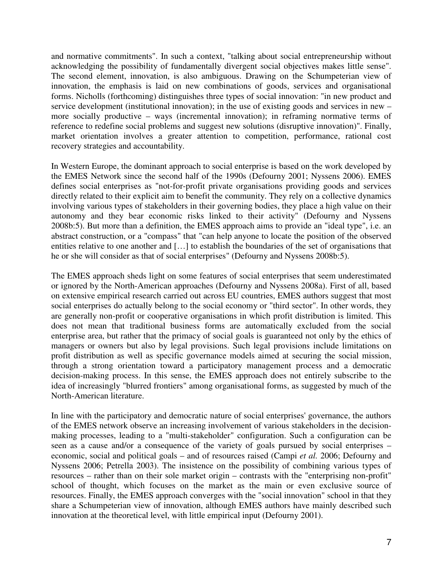and normative commitments". In such a context, "talking about social entrepreneurship without acknowledging the possibility of fundamentally divergent social objectives makes little sense". The second element, innovation, is also ambiguous. Drawing on the Schumpeterian view of innovation, the emphasis is laid on new combinations of goods, services and organisational forms. Nicholls (forthcoming) distinguishes three types of social innovation: "in new product and service development (institutional innovation); in the use of existing goods and services in new – more socially productive – ways (incremental innovation); in reframing normative terms of reference to redefine social problems and suggest new solutions (disruptive innovation)". Finally, market orientation involves a greater attention to competition, performance, rational cost recovery strategies and accountability.

In Western Europe, the dominant approach to social enterprise is based on the work developed by the EMES Network since the second half of the 1990s (Defourny 2001; Nyssens 2006). EMES defines social enterprises as "not-for-profit private organisations providing goods and services directly related to their explicit aim to benefit the community. They rely on a collective dynamics involving various types of stakeholders in their governing bodies, they place a high value on their autonomy and they bear economic risks linked to their activity" (Defourny and Nyssens 2008b:5). But more than a definition, the EMES approach aims to provide an "ideal type", i.e. an abstract construction, or a "compass" that "can help anyone to locate the position of the observed entities relative to one another and […] to establish the boundaries of the set of organisations that he or she will consider as that of social enterprises" (Defourny and Nyssens 2008b:5).

The EMES approach sheds light on some features of social enterprises that seem underestimated or ignored by the North-American approaches (Defourny and Nyssens 2008a). First of all, based on extensive empirical research carried out across EU countries, EMES authors suggest that most social enterprises do actually belong to the social economy or "third sector". In other words, they are generally non-profit or cooperative organisations in which profit distribution is limited. This does not mean that traditional business forms are automatically excluded from the social enterprise area, but rather that the primacy of social goals is guaranteed not only by the ethics of managers or owners but also by legal provisions. Such legal provisions include limitations on profit distribution as well as specific governance models aimed at securing the social mission, through a strong orientation toward a participatory management process and a democratic decision-making process. In this sense, the EMES approach does not entirely subscribe to the idea of increasingly "blurred frontiers" among organisational forms, as suggested by much of the North-American literature.

In line with the participatory and democratic nature of social enterprises' governance, the authors of the EMES network observe an increasing involvement of various stakeholders in the decisionmaking processes, leading to a "multi-stakeholder" configuration. Such a configuration can be seen as a cause and/or a consequence of the variety of goals pursued by social enterprises – economic, social and political goals – and of resources raised (Campi *et al.* 2006; Defourny and Nyssens 2006; Petrella 2003). The insistence on the possibility of combining various types of resources – rather than on their sole market origin – contrasts with the "enterprising non-profit" school of thought, which focuses on the market as the main or even exclusive source of resources. Finally, the EMES approach converges with the "social innovation" school in that they share a Schumpeterian view of innovation, although EMES authors have mainly described such innovation at the theoretical level, with little empirical input (Defourny 2001).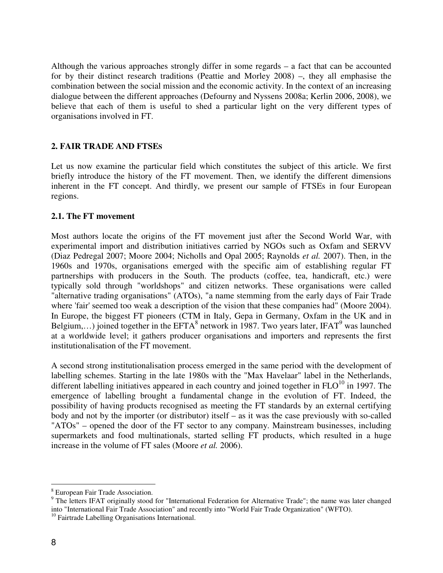Although the various approaches strongly differ in some regards – a fact that can be accounted for by their distinct research traditions (Peattie and Morley 2008) –, they all emphasise the combination between the social mission and the economic activity. In the context of an increasing dialogue between the different approaches (Defourny and Nyssens 2008a; Kerlin 2006, 2008), we believe that each of them is useful to shed a particular light on the very different types of organisations involved in FT.

#### **2. FAIR TRADE AND FTSES**

Let us now examine the particular field which constitutes the subject of this article. We first briefly introduce the history of the FT movement. Then, we identify the different dimensions inherent in the FT concept. And thirdly, we present our sample of FTSEs in four European regions.

#### **2.1. The FT movement**

Most authors locate the origins of the FT movement just after the Second World War, with experimental import and distribution initiatives carried by NGOs such as Oxfam and SERVV (Diaz Pedregal 2007; Moore 2004; Nicholls and Opal 2005; Raynolds *et al.* 2007). Then, in the 1960s and 1970s, organisations emerged with the specific aim of establishing regular FT partnerships with producers in the South. The products (coffee, tea, handicraft, etc.) were typically sold through "worldshops" and citizen networks. These organisations were called "alternative trading organisations" (ATOs), "a name stemming from the early days of Fair Trade where 'fair' seemed too weak a description of the vision that these companies had" (Moore 2004). In Europe, the biggest FT pioneers (CTM in Italy, Gepa in Germany, Oxfam in the UK and in Belgium,...) joined together in the EFTA<sup>8</sup> network in 1987. Two years later, IFAT<sup>9</sup> was launched at a worldwide level; it gathers producer organisations and importers and represents the first institutionalisation of the FT movement.

A second strong institutionalisation process emerged in the same period with the development of labelling schemes. Starting in the late 1980s with the "Max Havelaar" label in the Netherlands, different labelling initiatives appeared in each country and joined together in  $FLO<sup>10</sup>$  in 1997. The emergence of labelling brought a fundamental change in the evolution of FT. Indeed, the possibility of having products recognised as meeting the FT standards by an external certifying body and not by the importer (or distributor) itself – as it was the case previously with so-called "ATOs" – opened the door of the FT sector to any company. Mainstream businesses, including supermarkets and food multinationals, started selling FT products, which resulted in a huge increase in the volume of FT sales (Moore *et al.* 2006).

<sup>&</sup>lt;sup>8</sup> European Fair Trade Association.

<sup>&</sup>lt;sup>9</sup> The letters IFAT originally stood for "International Federation for Alternative Trade"; the name was later changed into "International Fair Trade Association" and recently into "World Fair Trade Organization" (WFTO).

<sup>&</sup>lt;sup>10</sup> Fairtrade Labelling Organisations International.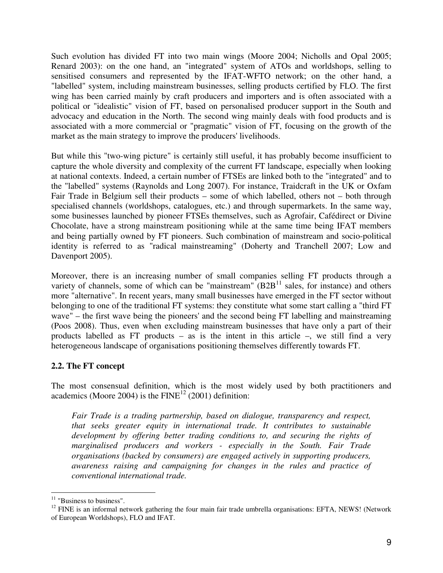Such evolution has divided FT into two main wings (Moore 2004; Nicholls and Opal 2005; Renard 2003): on the one hand, an "integrated" system of ATOs and worldshops, selling to sensitised consumers and represented by the IFAT-WFTO network; on the other hand, a "labelled" system, including mainstream businesses, selling products certified by FLO. The first wing has been carried mainly by craft producers and importers and is often associated with a political or "idealistic" vision of FT, based on personalised producer support in the South and advocacy and education in the North. The second wing mainly deals with food products and is associated with a more commercial or "pragmatic" vision of FT, focusing on the growth of the market as the main strategy to improve the producers' livelihoods.

But while this "two-wing picture" is certainly still useful, it has probably become insufficient to capture the whole diversity and complexity of the current FT landscape, especially when looking at national contexts. Indeed, a certain number of FTSEs are linked both to the "integrated" and to the "labelled" systems (Raynolds and Long 2007). For instance, Traidcraft in the UK or Oxfam Fair Trade in Belgium sell their products – some of which labelled, others not – both through specialised channels (worldshops, catalogues, etc.) and through supermarkets. In the same way, some businesses launched by pioneer FTSEs themselves, such as Agrofair, Cafédirect or Divine Chocolate, have a strong mainstream positioning while at the same time being IFAT members and being partially owned by FT pioneers. Such combination of mainstream and socio-political identity is referred to as "radical mainstreaming" (Doherty and Tranchell 2007; Low and Davenport 2005).

Moreover, there is an increasing number of small companies selling FT products through a variety of channels, some of which can be "mainstream"  $(B2B<sup>11</sup>$  sales, for instance) and others more "alternative". In recent years, many small businesses have emerged in the FT sector without belonging to one of the traditional FT systems: they constitute what some start calling a "third FT wave" – the first wave being the pioneers' and the second being FT labelling and mainstreaming (Poos 2008). Thus, even when excluding mainstream businesses that have only a part of their products labelled as FT products – as is the intent in this article –, we still find a very heterogeneous landscape of organisations positioning themselves differently towards FT.

### **2.2. The FT concept**

The most consensual definition, which is the most widely used by both practitioners and academics (Moore 2004) is the  $FINE^{12}$  (2001) definition:

*Fair Trade is a trading partnership, based on dialogue, transparency and respect, that seeks greater equity in international trade. It contributes to sustainable development by offering better trading conditions to, and securing the rights of marginalised producers and workers - especially in the South. Fair Trade organisations (backed by consumers) are engaged actively in supporting producers, awareness raising and campaigning for changes in the rules and practice of conventional international trade.* 

 $\overline{a}$  $11$  "Business to business".

 $12$  FINE is an informal network gathering the four main fair trade umbrella organisations: EFTA, NEWS! (Network of European Worldshops), FLO and IFAT.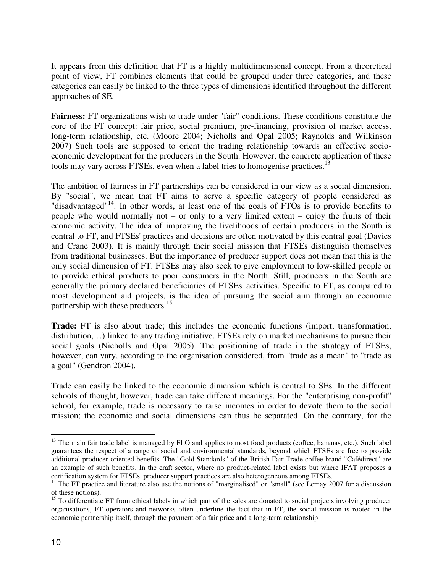It appears from this definition that FT is a highly multidimensional concept. From a theoretical point of view, FT combines elements that could be grouped under three categories, and these categories can easily be linked to the three types of dimensions identified throughout the different approaches of SE.

**Fairness:** FT organizations wish to trade under "fair" conditions. These conditions constitute the core of the FT concept: fair price, social premium, pre-financing, provision of market access, long-term relationship, etc. (Moore 2004; Nicholls and Opal 2005; Raynolds and Wilkinson 2007) Such tools are supposed to orient the trading relationship towards an effective socioeconomic development for the producers in the South. However, the concrete application of these tools may vary across FTSEs, even when a label tries to homogenise practices.<sup>1</sup>

The ambition of fairness in FT partnerships can be considered in our view as a social dimension. By "social", we mean that FT aims to serve a specific category of people considered as "disadvantaged"<sup>14</sup>. In other words, at least one of the goals of  $\overline{FTOs}$  is to provide benefits to people who would normally not – or only to a very limited extent – enjoy the fruits of their economic activity. The idea of improving the livelihoods of certain producers in the South is central to FT, and FTSEs' practices and decisions are often motivated by this central goal (Davies and Crane 2003). It is mainly through their social mission that FTSEs distinguish themselves from traditional businesses. But the importance of producer support does not mean that this is the only social dimension of FT. FTSEs may also seek to give employment to low-skilled people or to provide ethical products to poor consumers in the North. Still, producers in the South are generally the primary declared beneficiaries of FTSEs' activities. Specific to FT, as compared to most development aid projects, is the idea of pursuing the social aim through an economic partnership with these producers.<sup>15</sup>

**Trade:** FT is also about trade; this includes the economic functions (import, transformation, distribution,…) linked to any trading initiative. FTSEs rely on market mechanisms to pursue their social goals (Nicholls and Opal 2005). The positioning of trade in the strategy of FTSEs, however, can vary, according to the organisation considered, from "trade as a mean" to "trade as a goal" (Gendron 2004).

Trade can easily be linked to the economic dimension which is central to SEs. In the different schools of thought, however, trade can take different meanings. For the "enterprising non-profit" school, for example, trade is necessary to raise incomes in order to devote them to the social mission; the economic and social dimensions can thus be separated. On the contrary, for the

 $\overline{a}$ 

<sup>&</sup>lt;sup>13</sup> The main fair trade label is managed by FLO and applies to most food products (coffee, bananas, etc.). Such label guarantees the respect of a range of social and environmental standards, beyond which FTSEs are free to provide additional producer-oriented benefits. The "Gold Standards" of the British Fair Trade coffee brand "Cafédirect" are an example of such benefits. In the craft sector, where no product-related label exists but where IFAT proposes a certification system for FTSEs, producer support practices are also heterogeneous among FTSEs.

<sup>&</sup>lt;sup>14</sup> The FT practice and literature also use the notions of "marginalised" or "small" (see Lemay 2007 for a discussion of these notions).

<sup>&</sup>lt;sup>15</sup> To differentiate FT from ethical labels in which part of the sales are donated to social projects involving producer organisations, FT operators and networks often underline the fact that in FT, the social mission is rooted in the economic partnership itself, through the payment of a fair price and a long-term relationship.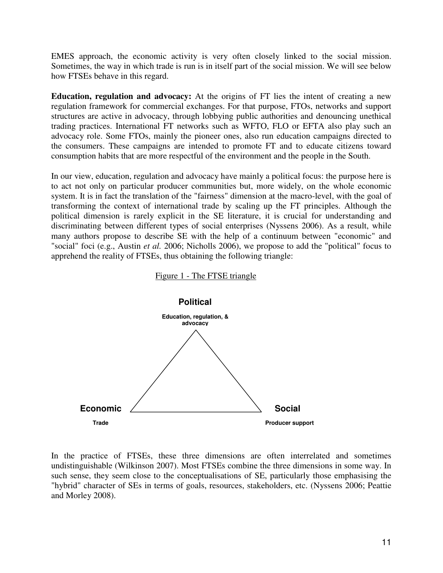EMES approach, the economic activity is very often closely linked to the social mission. Sometimes, the way in which trade is run is in itself part of the social mission. We will see below how FTSEs behave in this regard.

**Education, regulation and advocacy:** At the origins of FT lies the intent of creating a new regulation framework for commercial exchanges. For that purpose, FTOs, networks and support structures are active in advocacy, through lobbying public authorities and denouncing unethical trading practices. International FT networks such as WFTO, FLO or EFTA also play such an advocacy role. Some FTOs, mainly the pioneer ones, also run education campaigns directed to the consumers. These campaigns are intended to promote FT and to educate citizens toward consumption habits that are more respectful of the environment and the people in the South.

In our view, education, regulation and advocacy have mainly a political focus: the purpose here is to act not only on particular producer communities but, more widely, on the whole economic system. It is in fact the translation of the "fairness" dimension at the macro-level, with the goal of transforming the context of international trade by scaling up the FT principles. Although the political dimension is rarely explicit in the SE literature, it is crucial for understanding and discriminating between different types of social enterprises (Nyssens 2006). As a result, while many authors propose to describe SE with the help of a continuum between "economic" and "social" foci (e.g., Austin *et al.* 2006; Nicholls 2006), we propose to add the "political" focus to apprehend the reality of FTSEs, thus obtaining the following triangle:





In the practice of FTSEs, these three dimensions are often interrelated and sometimes undistinguishable (Wilkinson 2007). Most FTSEs combine the three dimensions in some way. In such sense, they seem close to the conceptualisations of SE, particularly those emphasising the "hybrid" character of SEs in terms of goals, resources, stakeholders, etc. (Nyssens 2006; Peattie and Morley 2008).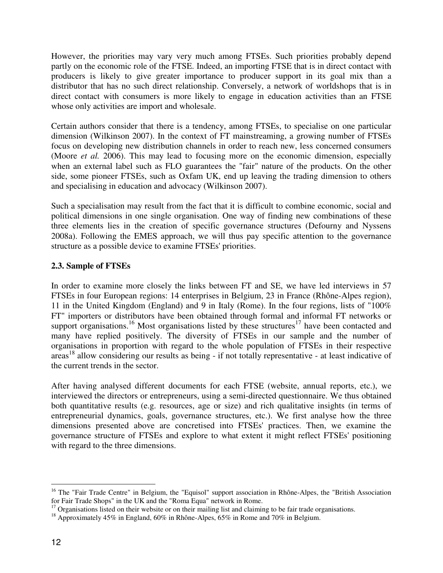However, the priorities may vary very much among FTSEs. Such priorities probably depend partly on the economic role of the FTSE. Indeed, an importing FTSE that is in direct contact with producers is likely to give greater importance to producer support in its goal mix than a distributor that has no such direct relationship. Conversely, a network of worldshops that is in direct contact with consumers is more likely to engage in education activities than an FTSE whose only activities are import and wholesale.

Certain authors consider that there is a tendency, among FTSEs, to specialise on one particular dimension (Wilkinson 2007). In the context of FT mainstreaming, a growing number of FTSEs focus on developing new distribution channels in order to reach new, less concerned consumers (Moore *et al.* 2006). This may lead to focusing more on the economic dimension, especially when an external label such as FLO guarantees the "fair" nature of the products. On the other side, some pioneer FTSEs, such as Oxfam UK, end up leaving the trading dimension to others and specialising in education and advocacy (Wilkinson 2007).

Such a specialisation may result from the fact that it is difficult to combine economic, social and political dimensions in one single organisation. One way of finding new combinations of these three elements lies in the creation of specific governance structures (Defourny and Nyssens 2008a). Following the EMES approach, we will thus pay specific attention to the governance structure as a possible device to examine FTSEs' priorities.

### **2.3. Sample of FTSEs**

In order to examine more closely the links between FT and SE, we have led interviews in 57 FTSEs in four European regions: 14 enterprises in Belgium, 23 in France (Rhône-Alpes region), 11 in the United Kingdom (England) and 9 in Italy (Rome). In the four regions, lists of "100% FT" importers or distributors have been obtained through formal and informal FT networks or support organisations.<sup>16</sup> Most organisations listed by these structures<sup>17</sup> have been contacted and many have replied positively. The diversity of FTSEs in our sample and the number of organisations in proportion with regard to the whole population of FTSEs in their respective areas<sup>18</sup> allow considering our results as being - if not totally representative - at least indicative of the current trends in the sector.

After having analysed different documents for each FTSE (website, annual reports, etc.), we interviewed the directors or entrepreneurs, using a semi-directed questionnaire. We thus obtained both quantitative results (e.g. resources, age or size) and rich qualitative insights (in terms of entrepreneurial dynamics, goals, governance structures, etc.). We first analyse how the three dimensions presented above are concretised into FTSEs' practices. Then, we examine the governance structure of FTSEs and explore to what extent it might reflect FTSEs' positioning with regard to the three dimensions.

 $\overline{a}$ 

<sup>&</sup>lt;sup>16</sup> The "Fair Trade Centre" in Belgium, the "Equisol" support association in Rhône-Alpes, the "British Association for Fair Trade Shops" in the UK and the "Roma Equa" network in Rome.

 $17$  Organisations listed on their website or on their mailing list and claiming to be fair trade organisations.

<sup>&</sup>lt;sup>18</sup> Approximately 45% in England, 60% in Rhône-Alpes, 65% in Rome and 70% in Belgium.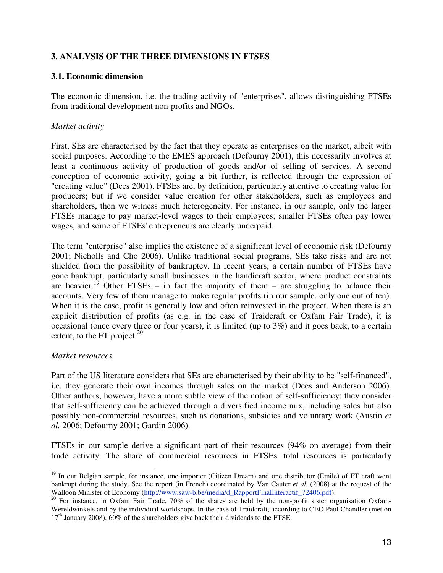### **3. ANALYSIS OF THE THREE DIMENSIONS IN FTSES**

#### **3.1. Economic dimension**

The economic dimension, i.e. the trading activity of "enterprises", allows distinguishing FTSEs from traditional development non-profits and NGOs.

#### *Market activity*

First, SEs are characterised by the fact that they operate as enterprises on the market, albeit with social purposes. According to the EMES approach (Defourny 2001), this necessarily involves at least a continuous activity of production of goods and/or of selling of services. A second conception of economic activity, going a bit further, is reflected through the expression of "creating value" (Dees 2001). FTSEs are, by definition, particularly attentive to creating value for producers; but if we consider value creation for other stakeholders, such as employees and shareholders, then we witness much heterogeneity. For instance, in our sample, only the larger FTSEs manage to pay market-level wages to their employees; smaller FTSEs often pay lower wages, and some of FTSEs' entrepreneurs are clearly underpaid.

The term "enterprise" also implies the existence of a significant level of economic risk (Defourny 2001; Nicholls and Cho 2006). Unlike traditional social programs, SEs take risks and are not shielded from the possibility of bankruptcy. In recent years, a certain number of FTSEs have gone bankrupt, particularly small businesses in the handicraft sector, where product constraints are heavier.<sup>19</sup> Other FTSEs – in fact the majority of them – are struggling to balance their accounts. Very few of them manage to make regular profits (in our sample, only one out of ten). When it is the case, profit is generally low and often reinvested in the project. When there is an explicit distribution of profits (as e.g. in the case of Traidcraft or Oxfam Fair Trade), it is occasional (once every three or four years), it is limited (up to 3%) and it goes back, to a certain extent, to the FT project. $^{20}$ 

### *Market resources*

Part of the US literature considers that SEs are characterised by their ability to be "self-financed", i.e. they generate their own incomes through sales on the market (Dees and Anderson 2006). Other authors, however, have a more subtle view of the notion of self-sufficiency: they consider that self-sufficiency can be achieved through a diversified income mix, including sales but also possibly non-commercial resources, such as donations, subsidies and voluntary work (Austin *et al.* 2006; Defourny 2001; Gardin 2006).

FTSEs in our sample derive a significant part of their resources (94% on average) from their trade activity. The share of commercial resources in FTSEs' total resources is particularly

 $\overline{a}$ <sup>19</sup> In our Belgian sample, for instance, one importer (Citizen Dream) and one distributor (Emile) of FT craft went bankrupt during the study. See the report (in French) coordinated by Van Cauter *et al.* (2008) at the request of the Walloon Minister of Economy (http://www.saw-b.be/media/d\_RapportFinalInteractif\_72406.pdf).

<sup>&</sup>lt;sup>20</sup> For instance, in Oxfam Fair Trade, 70% of the shares are held by the non-profit sister organisation Oxfam-Wereldwinkels and by the individual worldshops. In the case of Traidcraft, according to CEO Paul Chandler (met on  $17<sup>th</sup>$  January 2008), 60% of the shareholders give back their dividends to the FTSE.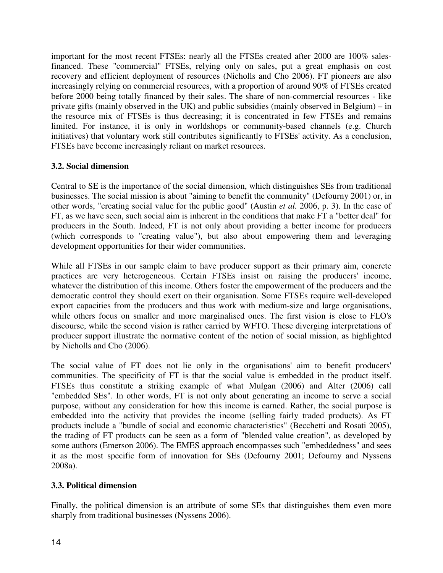important for the most recent FTSEs: nearly all the FTSEs created after 2000 are 100% salesfinanced. These "commercial" FTSEs, relying only on sales, put a great emphasis on cost recovery and efficient deployment of resources (Nicholls and Cho 2006). FT pioneers are also increasingly relying on commercial resources, with a proportion of around 90% of FTSEs created before 2000 being totally financed by their sales. The share of non-commercial resources - like private gifts (mainly observed in the UK) and public subsidies (mainly observed in Belgium) – in the resource mix of FTSEs is thus decreasing; it is concentrated in few FTSEs and remains limited. For instance, it is only in worldshops or community-based channels (e.g. Church initiatives) that voluntary work still contributes significantly to FTSEs' activity. As a conclusion, FTSEs have become increasingly reliant on market resources.

## **3.2. Social dimension**

Central to SE is the importance of the social dimension, which distinguishes SEs from traditional businesses. The social mission is about "aiming to benefit the community" (Defourny 2001) or, in other words, "creating social value for the public good" (Austin *et al.* 2006, p. 3). In the case of FT, as we have seen, such social aim is inherent in the conditions that make FT a "better deal" for producers in the South. Indeed, FT is not only about providing a better income for producers (which corresponds to "creating value"), but also about empowering them and leveraging development opportunities for their wider communities.

While all FTSEs in our sample claim to have producer support as their primary aim, concrete practices are very heterogeneous. Certain FTSEs insist on raising the producers' income, whatever the distribution of this income. Others foster the empowerment of the producers and the democratic control they should exert on their organisation. Some FTSEs require well-developed export capacities from the producers and thus work with medium-size and large organisations, while others focus on smaller and more marginalised ones. The first vision is close to FLO's discourse, while the second vision is rather carried by WFTO. These diverging interpretations of producer support illustrate the normative content of the notion of social mission, as highlighted by Nicholls and Cho (2006).

The social value of FT does not lie only in the organisations' aim to benefit producers' communities. The specificity of FT is that the social value is embedded in the product itself. FTSEs thus constitute a striking example of what Mulgan (2006) and Alter (2006) call "embedded SEs". In other words, FT is not only about generating an income to serve a social purpose, without any consideration for how this income is earned. Rather, the social purpose is embedded into the activity that provides the income (selling fairly traded products). As FT products include a "bundle of social and economic characteristics" (Becchetti and Rosati 2005), the trading of FT products can be seen as a form of "blended value creation", as developed by some authors (Emerson 2006). The EMES approach encompasses such "embeddedness" and sees it as the most specific form of innovation for SEs (Defourny 2001; Defourny and Nyssens 2008a).

## **3.3. Political dimension**

Finally, the political dimension is an attribute of some SEs that distinguishes them even more sharply from traditional businesses (Nyssens 2006).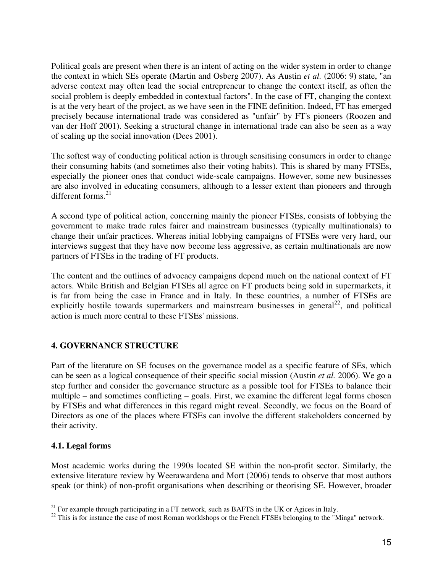Political goals are present when there is an intent of acting on the wider system in order to change the context in which SEs operate (Martin and Osberg 2007). As Austin *et al.* (2006: 9) state, "an adverse context may often lead the social entrepreneur to change the context itself, as often the social problem is deeply embedded in contextual factors". In the case of FT, changing the context is at the very heart of the project, as we have seen in the FINE definition. Indeed, FT has emerged precisely because international trade was considered as "unfair" by FT's pioneers (Roozen and van der Hoff 2001). Seeking a structural change in international trade can also be seen as a way of scaling up the social innovation (Dees 2001).

The softest way of conducting political action is through sensitising consumers in order to change their consuming habits (and sometimes also their voting habits). This is shared by many FTSEs, especially the pioneer ones that conduct wide-scale campaigns. However, some new businesses are also involved in educating consumers, although to a lesser extent than pioneers and through different forms. $21$ 

A second type of political action, concerning mainly the pioneer FTSEs, consists of lobbying the government to make trade rules fairer and mainstream businesses (typically multinationals) to change their unfair practices. Whereas initial lobbying campaigns of FTSEs were very hard, our interviews suggest that they have now become less aggressive, as certain multinationals are now partners of FTSEs in the trading of FT products.

The content and the outlines of advocacy campaigns depend much on the national context of FT actors. While British and Belgian FTSEs all agree on FT products being sold in supermarkets, it is far from being the case in France and in Italy. In these countries, a number of FTSEs are explicitly hostile towards supermarkets and mainstream businesses in general<sup>22</sup>, and political action is much more central to these FTSEs' missions.

## **4. GOVERNANCE STRUCTURE**

Part of the literature on SE focuses on the governance model as a specific feature of SEs, which can be seen as a logical consequence of their specific social mission (Austin *et al.* 2006). We go a step further and consider the governance structure as a possible tool for FTSEs to balance their multiple – and sometimes conflicting – goals. First, we examine the different legal forms chosen by FTSEs and what differences in this regard might reveal. Secondly, we focus on the Board of Directors as one of the places where FTSEs can involve the different stakeholders concerned by their activity.

### **4.1. Legal forms**

Most academic works during the 1990s located SE within the non-profit sector. Similarly, the extensive literature review by Weerawardena and Mort (2006) tends to observe that most authors speak (or think) of non-profit organisations when describing or theorising SE. However, broader

 $\overline{a}$  $21$  For example through participating in a FT network, such as BAFTS in the UK or Agices in Italy.

<sup>&</sup>lt;sup>22</sup> This is for instance the case of most Roman worldshops or the French FTSEs belonging to the "Minga" network.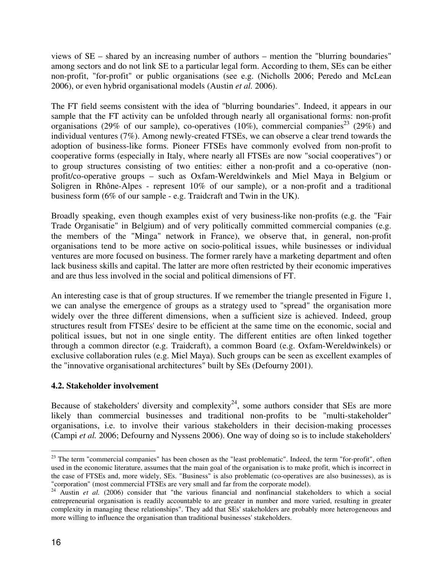views of SE – shared by an increasing number of authors – mention the "blurring boundaries" among sectors and do not link SE to a particular legal form. According to them, SEs can be either non-profit, "for-profit" or public organisations (see e.g. (Nicholls 2006; Peredo and McLean 2006), or even hybrid organisational models (Austin *et al.* 2006).

The FT field seems consistent with the idea of "blurring boundaries". Indeed, it appears in our sample that the FT activity can be unfolded through nearly all organisational forms: non-profit organisations (29% of our sample), co-operatives (10%), commercial companies<sup>23</sup> (29%) and individual ventures (7%). Among newly-created FTSEs, we can observe a clear trend towards the adoption of business-like forms. Pioneer FTSEs have commonly evolved from non-profit to cooperative forms (especially in Italy, where nearly all FTSEs are now "social cooperatives") or to group structures consisting of two entities: either a non-profit and a co-operative (nonprofit/co-operative groups – such as Oxfam-Wereldwinkels and Miel Maya in Belgium or Soligren in Rhône-Alpes - represent 10% of our sample), or a non-profit and a traditional business form (6% of our sample - e.g. Traidcraft and Twin in the UK).

Broadly speaking, even though examples exist of very business-like non-profits (e.g. the "Fair Trade Organisatie" in Belgium) and of very politically committed commercial companies (e.g. the members of the "Minga" network in France), we observe that, in general, non-profit organisations tend to be more active on socio-political issues, while businesses or individual ventures are more focused on business. The former rarely have a marketing department and often lack business skills and capital. The latter are more often restricted by their economic imperatives and are thus less involved in the social and political dimensions of FT.

An interesting case is that of group structures. If we remember the triangle presented in Figure 1, we can analyse the emergence of groups as a strategy used to "spread" the organisation more widely over the three different dimensions, when a sufficient size is achieved. Indeed, group structures result from FTSEs' desire to be efficient at the same time on the economic, social and political issues, but not in one single entity. The different entities are often linked together through a common director (e.g. Traidcraft), a common Board (e.g. Oxfam-Wereldwinkels) or exclusive collaboration rules (e.g. Miel Maya). Such groups can be seen as excellent examples of the "innovative organisational architectures" built by SEs (Defourny 2001).

### **4.2. Stakeholder involvement**

Because of stakeholders' diversity and complexity<sup>24</sup>, some authors consider that SEs are more likely than commercial businesses and traditional non-profits to be "multi-stakeholder" organisations, i.e. to involve their various stakeholders in their decision-making processes (Campi *et al.* 2006; Defourny and Nyssens 2006). One way of doing so is to include stakeholders'

 $\overline{a}$ <sup>23</sup> The term "commercial companies" has been chosen as the "least problematic". Indeed, the term "for-profit", often used in the economic literature, assumes that the main goal of the organisation is to make profit, which is incorrect in the case of FTSEs and, more widely, SEs. "Business" is also problematic (co-operatives are also businesses), as is "corporation" (most commercial FTSEs are very small and far from the corporate model).

<sup>&</sup>lt;sup>24</sup> Austin *et al.* (2006) consider that "the various financial and nonfinancial stakeholders to which a social entrepreneurial organisation is readily accountable to are greater in number and more varied, resulting in greater complexity in managing these relationships". They add that SEs' stakeholders are probably more heterogeneous and more willing to influence the organisation than traditional businesses' stakeholders.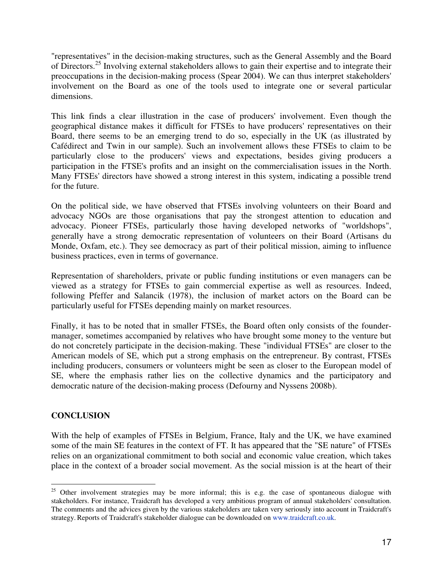"representatives" in the decision-making structures, such as the General Assembly and the Board of Directors.<sup>25</sup> Involving external stakeholders allows to gain their expertise and to integrate their preoccupations in the decision-making process (Spear 2004). We can thus interpret stakeholders' involvement on the Board as one of the tools used to integrate one or several particular dimensions.

This link finds a clear illustration in the case of producers' involvement. Even though the geographical distance makes it difficult for FTSEs to have producers' representatives on their Board, there seems to be an emerging trend to do so, especially in the UK (as illustrated by Cafédirect and Twin in our sample). Such an involvement allows these FTSEs to claim to be particularly close to the producers' views and expectations, besides giving producers a participation in the FTSE's profits and an insight on the commercialisation issues in the North. Many FTSEs' directors have showed a strong interest in this system, indicating a possible trend for the future.

On the political side, we have observed that FTSEs involving volunteers on their Board and advocacy NGOs are those organisations that pay the strongest attention to education and advocacy. Pioneer FTSEs, particularly those having developed networks of "worldshops", generally have a strong democratic representation of volunteers on their Board (Artisans du Monde, Oxfam, etc.). They see democracy as part of their political mission, aiming to influence business practices, even in terms of governance.

Representation of shareholders, private or public funding institutions or even managers can be viewed as a strategy for FTSEs to gain commercial expertise as well as resources. Indeed, following Pfeffer and Salancik (1978), the inclusion of market actors on the Board can be particularly useful for FTSEs depending mainly on market resources.

Finally, it has to be noted that in smaller FTSEs, the Board often only consists of the foundermanager, sometimes accompanied by relatives who have brought some money to the venture but do not concretely participate in the decision-making. These "individual FTSEs" are closer to the American models of SE, which put a strong emphasis on the entrepreneur. By contrast, FTSEs including producers, consumers or volunteers might be seen as closer to the European model of SE, where the emphasis rather lies on the collective dynamics and the participatory and democratic nature of the decision-making process (Defourny and Nyssens 2008b).

### **CONCLUSION**

With the help of examples of FTSEs in Belgium, France, Italy and the UK, we have examined some of the main SE features in the context of FT. It has appeared that the "SE nature" of FTSEs relies on an organizational commitment to both social and economic value creation, which takes place in the context of a broader social movement. As the social mission is at the heart of their

 $\overline{a}$  $25$  Other involvement strategies may be more informal; this is e.g. the case of spontaneous dialogue with stakeholders. For instance, Traidcraft has developed a very ambitious program of annual stakeholders' consultation. The comments and the advices given by the various stakeholders are taken very seriously into account in Traidcraft's strategy. Reports of Traidcraft's stakeholder dialogue can be downloaded on www.traidcraft.co.uk.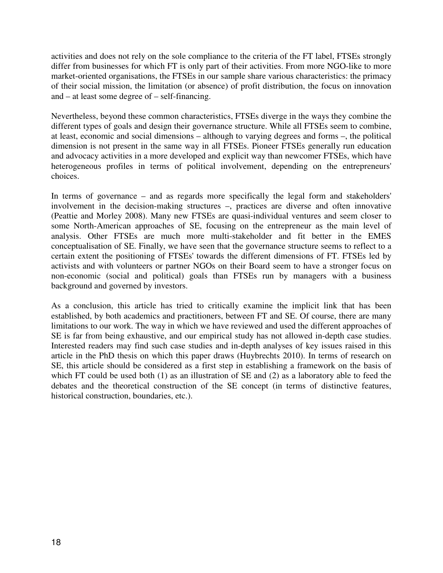activities and does not rely on the sole compliance to the criteria of the FT label, FTSEs strongly differ from businesses for which FT is only part of their activities. From more NGO-like to more market-oriented organisations, the FTSEs in our sample share various characteristics: the primacy of their social mission, the limitation (or absence) of profit distribution, the focus on innovation and – at least some degree of – self-financing.

Nevertheless, beyond these common characteristics, FTSEs diverge in the ways they combine the different types of goals and design their governance structure. While all FTSEs seem to combine, at least, economic and social dimensions – although to varying degrees and forms –, the political dimension is not present in the same way in all FTSEs. Pioneer FTSEs generally run education and advocacy activities in a more developed and explicit way than newcomer FTSEs, which have heterogeneous profiles in terms of political involvement, depending on the entrepreneurs' choices.

In terms of governance – and as regards more specifically the legal form and stakeholders' involvement in the decision-making structures –, practices are diverse and often innovative (Peattie and Morley 2008). Many new FTSEs are quasi-individual ventures and seem closer to some North-American approaches of SE, focusing on the entrepreneur as the main level of analysis. Other FTSEs are much more multi-stakeholder and fit better in the EMES conceptualisation of SE. Finally, we have seen that the governance structure seems to reflect to a certain extent the positioning of FTSEs' towards the different dimensions of FT. FTSEs led by activists and with volunteers or partner NGOs on their Board seem to have a stronger focus on non-economic (social and political) goals than FTSEs run by managers with a business background and governed by investors.

As a conclusion, this article has tried to critically examine the implicit link that has been established, by both academics and practitioners, between FT and SE. Of course, there are many limitations to our work. The way in which we have reviewed and used the different approaches of SE is far from being exhaustive, and our empirical study has not allowed in-depth case studies. Interested readers may find such case studies and in-depth analyses of key issues raised in this article in the PhD thesis on which this paper draws (Huybrechts 2010). In terms of research on SE, this article should be considered as a first step in establishing a framework on the basis of which FT could be used both (1) as an illustration of SE and (2) as a laboratory able to feed the debates and the theoretical construction of the SE concept (in terms of distinctive features, historical construction, boundaries, etc.).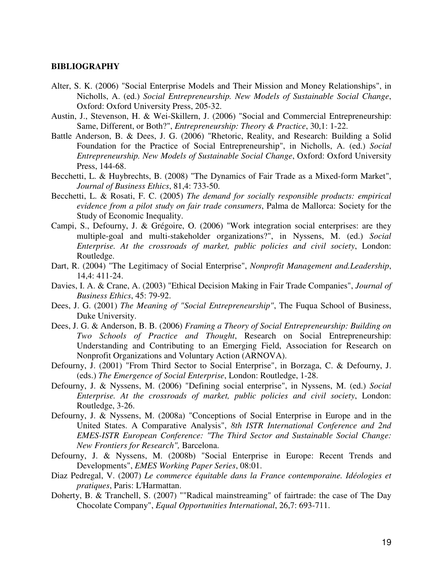#### **BIBLIOGRAPHY**

- Alter, S. K. (2006) "Social Enterprise Models and Their Mission and Money Relationships", in Nicholls, A. (ed.) *Social Entrepreneurship. New Models of Sustainable Social Change*, Oxford: Oxford University Press, 205-32.
- Austin, J., Stevenson, H. & Wei-Skillern, J. (2006) "Social and Commercial Entrepreneurship: Same, Different, or Both?", *Entrepreneurship: Theory & Practice*, 30,1: 1-22.
- Battle Anderson, B. & Dees, J. G. (2006) "Rhetoric, Reality, and Research: Building a Solid Foundation for the Practice of Social Entrepreneurship", in Nicholls, A. (ed.) *Social Entrepreneurship. New Models of Sustainable Social Change*, Oxford: Oxford University Press, 144-68.
- Becchetti, L. & Huybrechts, B. (2008) "The Dynamics of Fair Trade as a Mixed-form Market", *Journal of Business Ethics*, 81,4: 733-50.
- Becchetti, L. & Rosati, F. C. (2005) *The demand for socially responsible products: empirical evidence from a pilot study on fair trade consumers*, Palma de Mallorca: Society for the Study of Economic Inequality.
- Campi, S., Defourny, J. & Grégoire, O. (2006) "Work integration social enterprises: are they multiple-goal and multi-stakeholder organizations?", in Nyssens, M. (ed.) *Social Enterprise. At the crossroads of market, public policies and civil society*, London: Routledge.
- Dart, R. (2004) "The Legitimacy of Social Enterprise", *Nonprofit Management and.Leadership*, 14,4: 411-24.
- Davies, I. A. & Crane, A. (2003) "Ethical Decision Making in Fair Trade Companies", *Journal of Business Ethics*, 45: 79-92.
- Dees, J. G. (2001) *The Meaning of "Social Entrepreneurship"*, The Fuqua School of Business, Duke University.
- Dees, J. G. & Anderson, B. B. (2006) *Framing a Theory of Social Entrepreneurship: Building on Two Schools of Practice and Thought*, Research on Social Entrepreneurship: Understanding and Contributing to an Emerging Field, Association for Research on Nonprofit Organizations and Voluntary Action (ARNOVA).
- Defourny, J. (2001) "From Third Sector to Social Enterprise", in Borzaga, C. & Defourny, J. (eds.) *The Emergence of Social Enterprise*, London: Routledge, 1-28.
- Defourny, J. & Nyssens, M. (2006) "Defining social enterprise", in Nyssens, M. (ed.) *Social Enterprise. At the crossroads of market, public policies and civil society*, London: Routledge, 3-26.
- Defourny, J. & Nyssens, M. (2008a) "Conceptions of Social Enterprise in Europe and in the United States. A Comparative Analysis", *8th ISTR International Conference and 2nd EMES-ISTR European Conference: "The Third Sector and Sustainable Social Change: New Frontiers for Research",* Barcelona.
- Defourny, J. & Nyssens, M. (2008b) "Social Enterprise in Europe: Recent Trends and Developments", *EMES Working Paper Series*, 08:01.
- Diaz Pedregal, V. (2007) *Le commerce équitable dans la France contemporaine. Idéologies et pratiques*, Paris: L'Harmattan.
- Doherty, B. & Tranchell, S. (2007) ""Radical mainstreaming" of fairtrade: the case of The Day Chocolate Company", *Equal Opportunities International*, 26,7: 693-711.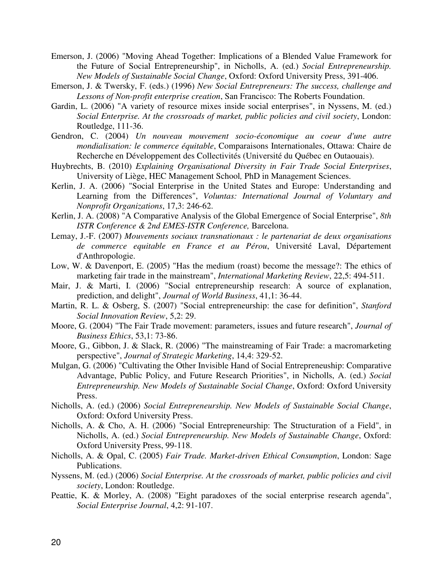- Emerson, J. (2006) "Moving Ahead Together: Implications of a Blended Value Framework for the Future of Social Entrepreneurship", in Nicholls, A. (ed.) *Social Entrepreneurship. New Models of Sustainable Social Change*, Oxford: Oxford University Press, 391-406.
- Emerson, J. & Twersky, F. (eds.) (1996) *New Social Entrepreneurs: The success, challenge and Lessons of Non-profit enterprise creation*, San Francisco: The Roberts Foundation.
- Gardin, L. (2006) "A variety of resource mixes inside social enterprises", in Nyssens, M. (ed.) *Social Enterprise. At the crossroads of market, public policies and civil society*, London: Routledge, 111-36.
- Gendron, C. (2004) *Un nouveau mouvement socio-économique au coeur d'une autre mondialisation: le commerce équitable*, Comparaisons Internationales, Ottawa: Chaire de Recherche en Développement des Collectivités (Université du Québec en Outaouais).
- Huybrechts, B. (2010) *Explaining Organisational Diversity in Fair Trade Social Enterprises*, University of Liège, HEC Management School*,* PhD in Management Sciences.
- Kerlin, J. A. (2006) "Social Enterprise in the United States and Europe: Understanding and Learning from the Differences", *Voluntas: International Journal of Voluntary and Nonprofit Organizations*, 17,3: 246-62.
- Kerlin, J. A. (2008) "A Comparative Analysis of the Global Emergence of Social Enterprise", *8th ISTR Conference & 2nd EMES-ISTR Conference,* Barcelona.
- Lemay, J.-F. (2007) *Mouvements sociaux transnationaux : le partenariat de deux organisations de commerce equitable en France et au Pérou*, Université Laval, Département d'Anthropologie.
- Low, W. & Davenport, E. (2005) "Has the medium (roast) become the message?: The ethics of marketing fair trade in the mainstream", *International Marketing Review*, 22,5: 494-511.
- Mair, J. & Marti, I. (2006) "Social entrepreneurship research: A source of explanation, prediction, and delight", *Journal of World Business*, 41,1: 36-44.
- Martin, R. L. & Osberg, S. (2007) "Social entrepreneurship: the case for definition", *Stanford Social Innovation Review*, 5,2: 29.
- Moore, G. (2004) "The Fair Trade movement: parameters, issues and future research", *Journal of Business Ethics*, 53,1: 73-86.
- Moore, G., Gibbon, J. & Slack, R. (2006) "The mainstreaming of Fair Trade: a macromarketing perspective", *Journal of Strategic Marketing*, 14,4: 329-52.
- Mulgan, G. (2006) "Cultivating the Other Invisible Hand of Social Entrepreneuship: Comparative Advantage, Public Policy, and Future Research Priorities", in Nicholls, A. (ed.) *Social Entrepreneurship. New Models of Sustainable Social Change*, Oxford: Oxford University Press.
- Nicholls, A. (ed.) (2006) *Social Entrepreneurship. New Models of Sustainable Social Change*, Oxford: Oxford University Press.
- Nicholls, A. & Cho, A. H. (2006) "Social Entrepreneurship: The Structuration of a Field", in Nicholls, A. (ed.) *Social Entrepreneurship. New Models of Sustainable Change*, Oxford: Oxford University Press, 99-118.
- Nicholls, A. & Opal, C. (2005) *Fair Trade. Market-driven Ethical Consumption*, London: Sage Publications.
- Nyssens, M. (ed.) (2006) *Social Enterprise. At the crossroads of market, public policies and civil society*, London: Routledge.
- Peattie, K. & Morley, A. (2008) "Eight paradoxes of the social enterprise research agenda", *Social Enterprise Journal*, 4,2: 91-107.